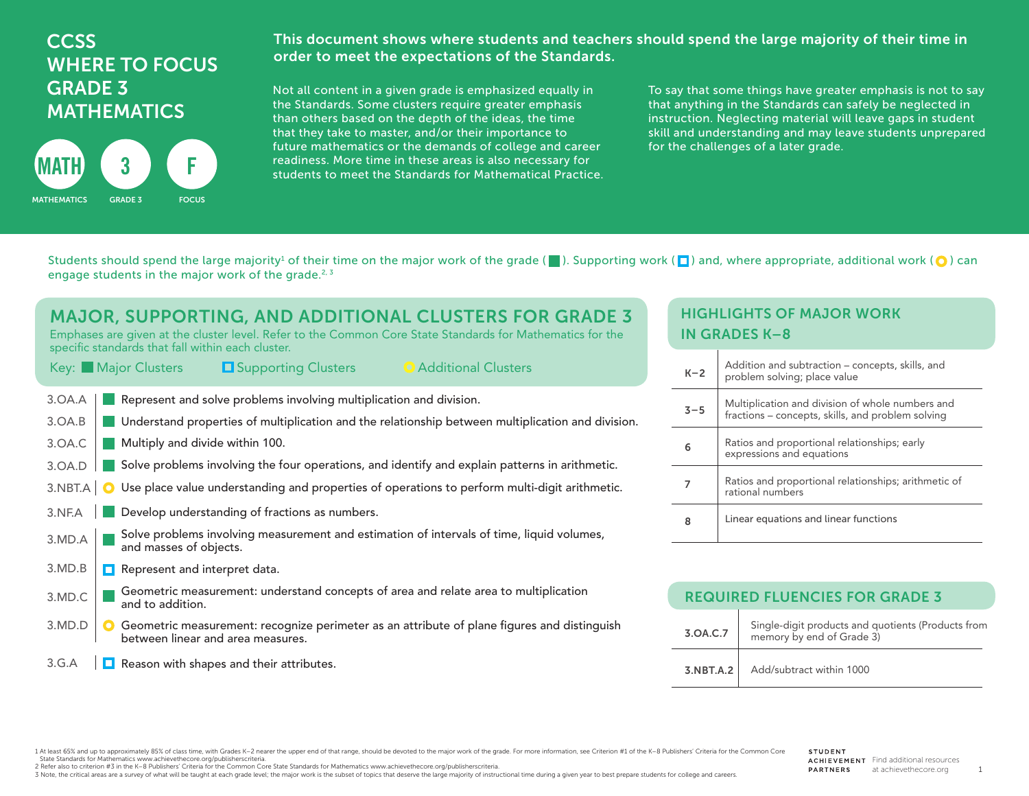## **CCSS** WHERE TO FOCUS GRADE 3 **MATHEMATICS**



This document shows where students and teachers should spend the large majority of their time in order to meet the expectations of the Standards.

Not all content in a given grade is emphasized equally in the Standards. Some clusters require greater emphasis than others based on the depth of the ideas, the time that they take to master, and/or their importance to future mathematics or the demands of college and career readiness. More time in these areas is also necessary for students to meet the Standards for Mathematical Practice.

To say that some things have greater emphasis is not to say that anything in the Standards can safely be neglected in instruction. Neglecting material will leave gaps in student skill and understanding and may leave students unprepared for the challenges of a later grade.

Students should spend the large majority<sup>1</sup> of their time on the major work of the grade ( $\Box$ ). Supporting work ( $\Box$ ) and, where appropriate, additional work ( $\bigcirc$ ) can engage students in the major work of the grade. $2,3$ 

| <b>MAJOR, SUPPORTING, AND ADDITIONAL CLUSTERS FOR GRADE 3</b><br>Emphases are given at the cluster level. Refer to the Common Core State Standards for Mathematics for the<br>specific standards that fall within each cluster.  | ŀ          |
|----------------------------------------------------------------------------------------------------------------------------------------------------------------------------------------------------------------------------------|------------|
| <b>O</b> Additional Clusters<br>Key: Major Clusters<br><b>L</b> Supporting Clusters                                                                                                                                              |            |
| Represent and solve problems involving multiplication and division.<br>3.0A.A<br>Understand properties of multiplication and the relationship between multiplication and division.<br>3.0A.B                                     | Ā          |
| Multiply and divide within 100.<br>3.OA.C                                                                                                                                                                                        | $\epsilon$ |
| Solve problems involving the four operations, and identify and explain patterns in arithmetic.<br>3.0A.D<br>Use place value understanding and properties of operations to perform multi-digit arithmetic.<br>$3.NBT.A$ $\bullet$ | 7          |
| Develop understanding of fractions as numbers.<br>3.NF.A<br>Solve problems involving measurement and estimation of intervals of time, liquid volumes,                                                                            | ٤          |
| 3.MD.A<br>and masses of objects.<br>3.MD.B<br>Represent and interpret data.<br>П                                                                                                                                                 |            |
| Geometric measurement: understand concepts of area and relate area to multiplication<br>3.MD.C<br>and to addition.                                                                                                               |            |
| 3.MD.D<br>Geometric measurement: recognize perimeter as an attribute of plane figures and distinguish<br>between linear and area measures.                                                                                       |            |
| Reason with shapes and their attributes.<br>3.G.A                                                                                                                                                                                |            |

## HIGHLIGHTS OF MAJOR WORK IN GRADES K–8

| $K-2$   | Addition and subtraction – concepts, skills, and<br>problem solving; place value                      |
|---------|-------------------------------------------------------------------------------------------------------|
| $3 - 5$ | Multiplication and division of whole numbers and<br>fractions - concepts, skills, and problem solving |
| 6       | Ratios and proportional relationships; early<br>expressions and equations                             |
|         | Ratios and proportional relationships; arithmetic of<br>rational numbers                              |
| 8       | Linear equations and linear functions                                                                 |

| <b>REQUIRED FLUENCIES FOR GRADE 3</b> |                                                                                 |  |
|---------------------------------------|---------------------------------------------------------------------------------|--|
| 3.0A.C.7                              | Single-digit products and quotients (Products from<br>memory by end of Grade 3) |  |
| 3.NBT.A.2                             | Add/subtract within 1000                                                        |  |

1 At least 65% and up to approximately 85% of class time, with Grades K-2 nearer the upper end of that range, should be devoted to the major work of the grade. For more information, see Criterion #1 of the K-8 Publishers' State Standards for Mathematics www.achievethecore.org/publisherscriteria.

2 Refer also to criterion #3 in the K–8 Publishers' Criteria for the Common Core State Standards for Mathematics www.achievethecore.org/publisherscriteria.

3 Note, the critical areas are a survey of what will be taught at each grade level; the major work is the subset of topics that deserve the large majority of instructional time during a given year to best prepare students

1